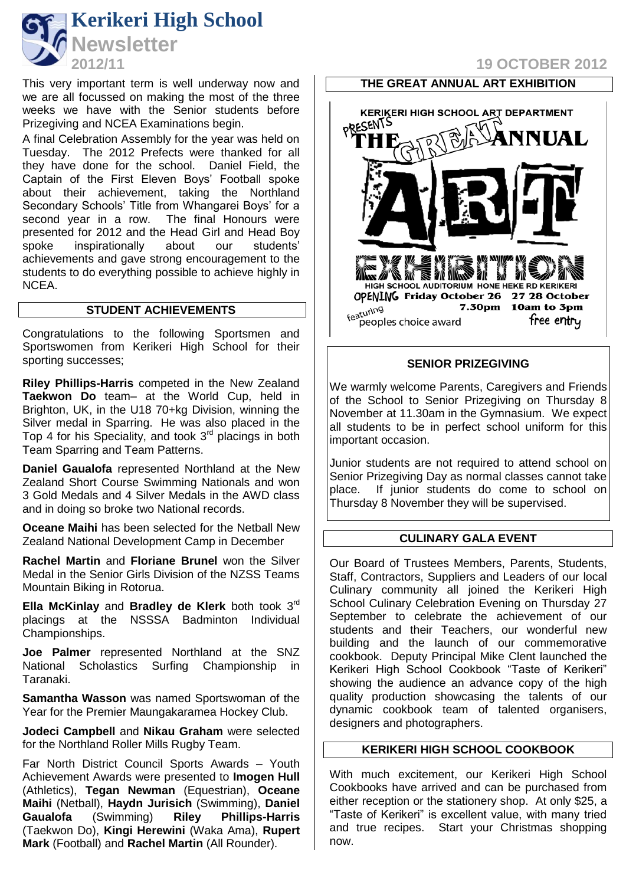

This very important term is well underway now and we are all focussed on making the most of the three weeks we have with the Senior students before Prizegiving and NCEA Examinations begin.

A final Celebration Assembly for the year was held on Tuesday. The 2012 Prefects were thanked for all they have done for the school. Daniel Field, the Captain of the First Eleven Boys' Football spoke about their achievement, taking the Northland Secondary Schools' Title from Whangarei Boys' for a second year in a row. The final Honours were presented for 2012 and the Head Girl and Head Boy spoke inspirationally about our students' achievements and gave strong encouragement to the students to do everything possible to achieve highly in NCEA.

# **STUDENT ACHIEVEMENTS**

Congratulations to the following Sportsmen and Sportswomen from Kerikeri High School for their sporting successes;

**Riley Phillips-Harris** competed in the New Zealand **Taekwon Do** team– at the World Cup, held in Brighton, UK, in the U18 70+kg Division, winning the Silver medal in Sparring. He was also placed in the Top 4 for his Speciality, and took  $3<sup>rd</sup>$  placings in both Team Sparring and Team Patterns.

**Daniel Gaualofa** represented Northland at the New Zealand Short Course Swimming Nationals and won 3 Gold Medals and 4 Silver Medals in the AWD class and in doing so broke two National records.

**Oceane Maihi** has been selected for the Netball New Zealand National Development Camp in December

**Rachel Martin** and **Floriane Brunel** won the Silver Medal in the Senior Girls Division of the NZSS Teams Mountain Biking in Rotorua.

**Ella McKinlay** and **Bradley de Klerk** both took 3rd placings at the NSSSA Badminton Individual Championships.

**Joe Palmer** represented Northland at the SNZ National Scholastics Surfing Championship in Taranaki.

**Samantha Wasson** was named Sportswoman of the Year for the Premier Maungakaramea Hockey Club.

**Jodeci Campbell** and **Nikau Graham** were selected for the Northland Roller Mills Rugby Team.

Far North District Council Sports Awards – Youth Achievement Awards were presented to **Imogen Hull**  (Athletics), **Tegan Newman** (Equestrian), **Oceane Maihi** (Netball), **Haydn Jurisich** (Swimming), **Daniel Gaualofa** (Swimming) **Riley Phillips-Harris** (Taekwon Do), **Kingi Herewini** (Waka Ama), **Rupert Mark** (Football) and **Rachel Martin** (All Rounder).

# **2012/11 19 OCTOBER 2012**



## **SENIOR PRIZEGIVING**

We warmly welcome Parents, Caregivers and Friends of the School to Senior Prizegiving on Thursday 8 November at 11.30am in the Gymnasium. We expect all students to be in perfect school uniform for this important occasion.

Junior students are not required to attend school on Senior Prizegiving Day as normal classes cannot take place. If junior students do come to school on Thursday 8 November they will be supervised.

#### **CULINARY GALA EVENT**

Our Board of Trustees Members, Parents, Students, Staff, Contractors, Suppliers and Leaders of our local Culinary community all joined the Kerikeri High School Culinary Celebration Evening on Thursday 27 September to celebrate the achievement of our students and their Teachers, our wonderful new building and the launch of our commemorative cookbook. Deputy Principal Mike Clent launched the Kerikeri High School Cookbook "Taste of Kerikeri" showing the audience an advance copy of the high quality production showcasing the talents of our dynamic cookbook team of talented organisers, designers and photographers.

#### **KERIKERI HIGH SCHOOL COOKBOOK**

With much excitement, our Kerikeri High School Cookbooks have arrived and can be purchased from either reception or the stationery shop. At only \$25, a "Taste of Kerikeri" is excellent value, with many tried and true recipes. Start your Christmas shopping now.